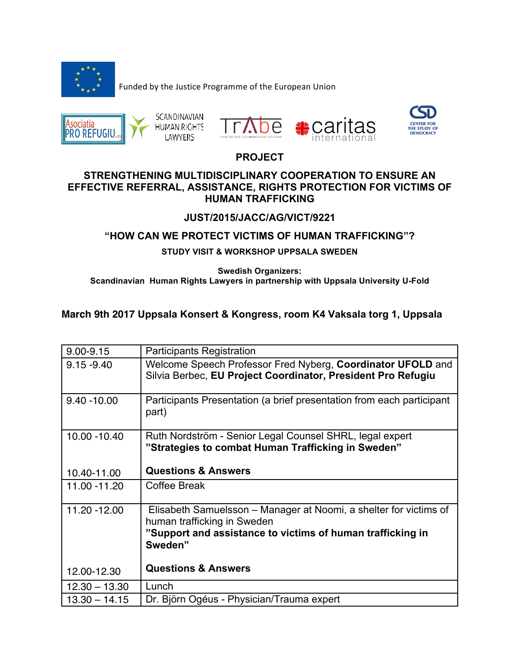

Funded by the Justice Programme of the European Union







## **PROJECT**

#### **STRENGTHENING MULTIDISCIPLINARY COOPERATION TO ENSURE AN EFFECTIVE REFERRAL, ASSISTANCE, RIGHTS PROTECTION FOR VICTIMS OF HUMAN TRAFFICKING**

#### **JUST/2015/JACC/AG/VICT/9221**

### **"HOW CAN WE PROTECT VICTIMS OF HUMAN TRAFFICKING"?**

#### **STUDY VISIT & WORKSHOP UPPSALA SWEDEN**

**Swedish Organizers: Scandinavian Human Rights Lawyers in partnership with Uppsala University U-Fold**

### **March 9th 2017 Uppsala Konsert & Kongress, room K4 Vaksala torg 1, Uppsala**

| $9.00 - 9.15$   | <b>Participants Registration</b>                                                                                                                                          |
|-----------------|---------------------------------------------------------------------------------------------------------------------------------------------------------------------------|
| $9.15 - 9.40$   | Welcome Speech Professor Fred Nyberg, Coordinator UFOLD and<br>Silvia Berbec, EU Project Coordinator, President Pro Refugiu                                               |
| $9.40 - 10.00$  | Participants Presentation (a brief presentation from each participant<br>part)                                                                                            |
| 10.00 - 10.40   | Ruth Nordström - Senior Legal Counsel SHRL, legal expert<br>"Strategies to combat Human Trafficking in Sweden"                                                            |
| 10.40-11.00     | <b>Questions &amp; Answers</b>                                                                                                                                            |
| 11.00 - 11.20   | Coffee Break                                                                                                                                                              |
| 11.20 - 12.00   | Elisabeth Samuelsson - Manager at Noomi, a shelter for victims of<br>human trafficking in Sweden<br>"Support and assistance to victims of human trafficking in<br>Sweden" |
| 12.00-12.30     | <b>Questions &amp; Answers</b>                                                                                                                                            |
| $12.30 - 13.30$ | Lunch                                                                                                                                                                     |
| $13.30 - 14.15$ | Dr. Björn Ogéus - Physician/Trauma expert                                                                                                                                 |